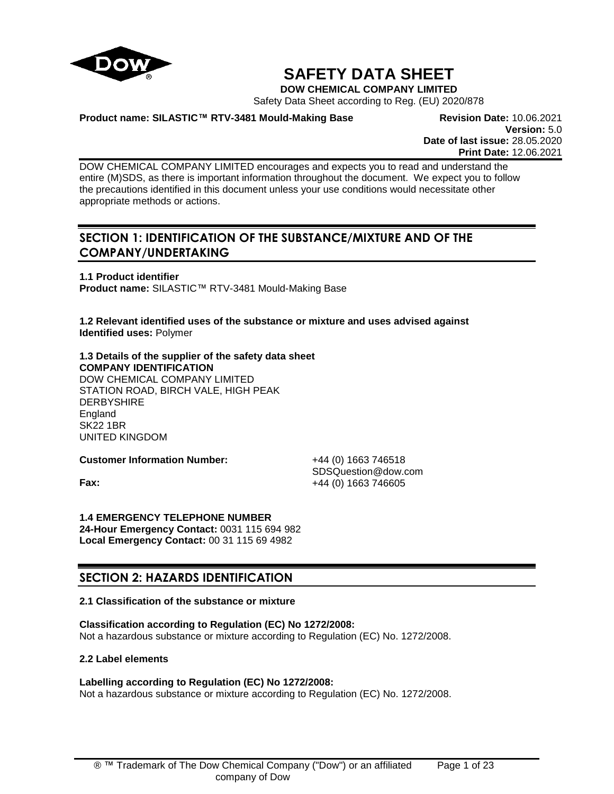

# **SAFETY DATA SHEET**

**DOW CHEMICAL COMPANY LIMITED**

Safety Data Sheet according to Reg. (EU) 2020/878

**Product name: SILASTIC™ RTV-3481 Mould-Making Base Revision Date:** 10.06.2021

**Version:** 5.0 **Date of last issue:** 28.05.2020 **Print Date:** 12.06.2021

DOW CHEMICAL COMPANY LIMITED encourages and expects you to read and understand the entire (M)SDS, as there is important information throughout the document. We expect you to follow the precautions identified in this document unless your use conditions would necessitate other appropriate methods or actions.

# **SECTION 1: IDENTIFICATION OF THE SUBSTANCE/MIXTURE AND OF THE COMPANY/UNDERTAKING**

**1.1 Product identifier Product name:** SILASTIC™ RTV-3481 Mould-Making Base

**1.2 Relevant identified uses of the substance or mixture and uses advised against Identified uses:** Polymer

**1.3 Details of the supplier of the safety data sheet COMPANY IDENTIFICATION** DOW CHEMICAL COMPANY LIMITED STATION ROAD, BIRCH VALE, HIGH PEAK **DERBYSHIRE England** SK22 1BR UNITED KINGDOM

**Customer Information Number:** +44 (0) 1663 746518

SDSQuestion@dow.com **Fax:**  $+44 (0) 1663 746605$ 

**1.4 EMERGENCY TELEPHONE NUMBER 24-Hour Emergency Contact:** 0031 115 694 982 **Local Emergency Contact:** 00 31 115 69 4982

# **SECTION 2: HAZARDS IDENTIFICATION**

# **2.1 Classification of the substance or mixture**

**Classification according to Regulation (EC) No 1272/2008:** Not a hazardous substance or mixture according to Regulation (EC) No. 1272/2008.

# **2.2 Label elements**

# **Labelling according to Regulation (EC) No 1272/2008:**

Not a hazardous substance or mixture according to Regulation (EC) No. 1272/2008.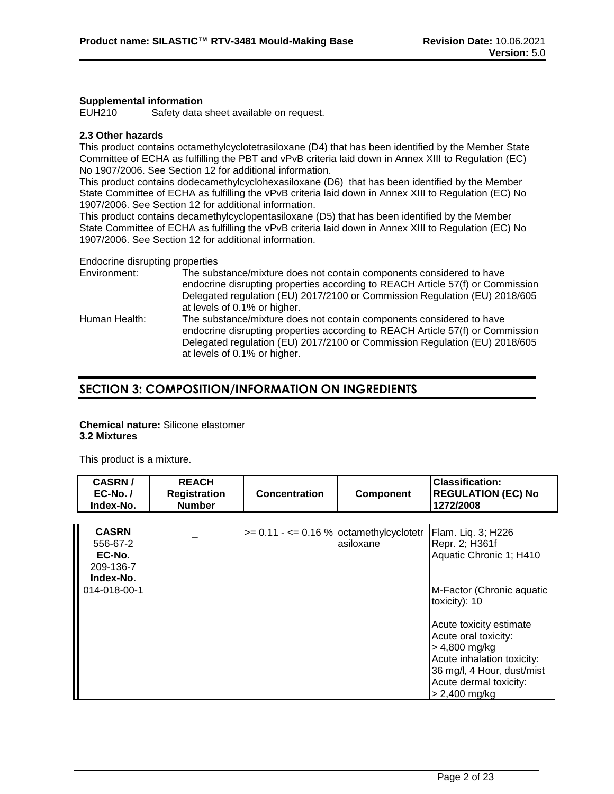#### **Supplemental information**

EUH210 Safety data sheet available on request.

# **2.3 Other hazards**

This product contains octamethylcyclotetrasiloxane (D4) that has been identified by the Member State Committee of ECHA as fulfilling the PBT and vPvB criteria laid down in Annex XIII to Regulation (EC) No 1907/2006. See Section 12 for additional information.

This product contains dodecamethylcyclohexasiloxane (D6) that has been identified by the Member State Committee of ECHA as fulfilling the vPvB criteria laid down in Annex XIII to Regulation (EC) No 1907/2006. See Section 12 for additional information.

This product contains decamethylcyclopentasiloxane (D5) that has been identified by the Member State Committee of ECHA as fulfilling the vPvB criteria laid down in Annex XIII to Regulation (EC) No 1907/2006. See Section 12 for additional information.

Endocrine disrupting properties

| Environment:  | The substance/mixture does not contain components considered to have<br>endocrine disrupting properties according to REACH Article 57(f) or Commission<br>Delegated regulation (EU) 2017/2100 or Commission Regulation (EU) 2018/605<br>at levels of 0.1% or higher. |
|---------------|----------------------------------------------------------------------------------------------------------------------------------------------------------------------------------------------------------------------------------------------------------------------|
| Human Health: | The substance/mixture does not contain components considered to have<br>endocrine disrupting properties according to REACH Article 57(f) or Commission<br>Delegated regulation (EU) 2017/2100 or Commission Regulation (EU) 2018/605<br>at levels of 0.1% or higher. |

# **SECTION 3: COMPOSITION/INFORMATION ON INGREDIENTS**

# **Chemical nature:** Silicone elastomer **3.2 Mixtures**

This product is a mixture.

| <b>CASRN/</b><br>$EC-No.$<br>Index-No.                                       | <b>REACH</b><br><b>Registration</b><br><b>Number</b> | <b>Concentration</b>                       | Component | <b>Classification:</b><br><b>REGULATION (EC) No</b><br>1272/2008                                                                                                                                                  |
|------------------------------------------------------------------------------|------------------------------------------------------|--------------------------------------------|-----------|-------------------------------------------------------------------------------------------------------------------------------------------------------------------------------------------------------------------|
| <b>CASRN</b><br>556-67-2<br>EC-No.<br>209-136-7<br>Index-No.<br>014-018-00-1 |                                                      | $>= 0.11 - \le 0.16$ % octamethylcyclotetr | asiloxane | Flam. Liq. 3; H226<br>Repr. 2; H361f<br>Aquatic Chronic 1; H410<br>M-Factor (Chronic aquatic<br>toxicity): 10<br>Acute toxicity estimate<br>Acute oral toxicity:<br>$> 4,800$ mg/kg<br>Acute inhalation toxicity: |
|                                                                              |                                                      |                                            |           | 36 mg/l, 4 Hour, dust/mist<br>Acute dermal toxicity:<br>$> 2,400$ mg/kg                                                                                                                                           |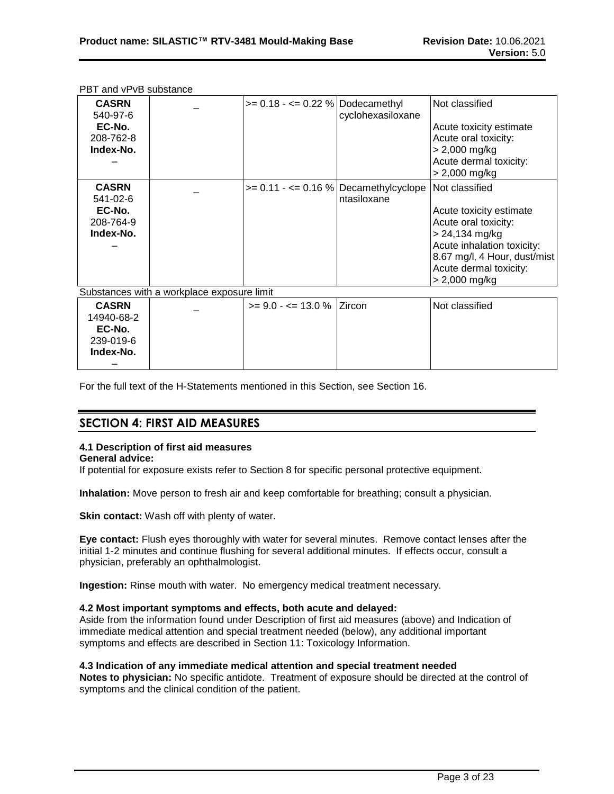| <b>CASRN</b><br>540-97-6<br>EC-No.<br>208-762-8<br>Index-No. |                                            | $>= 0.18 - \le 0.22$ % Dodecamethyl | cyclohexasiloxane                        | Not classified<br>Acute toxicity estimate<br>Acute oral toxicity:<br>$> 2,000$ mg/kg<br>Acute dermal toxicity: |
|--------------------------------------------------------------|--------------------------------------------|-------------------------------------|------------------------------------------|----------------------------------------------------------------------------------------------------------------|
|                                                              |                                            |                                     |                                          | $> 2,000$ mg/kg                                                                                                |
| <b>CASRN</b>                                                 |                                            |                                     | $>= 0.11 - \le 0.16$ % Decamethylcyclope | Not classified                                                                                                 |
| 541-02-6                                                     |                                            |                                     | ntasiloxane                              |                                                                                                                |
| EC-No.                                                       |                                            |                                     |                                          | Acute toxicity estimate                                                                                        |
| 208-764-9                                                    |                                            |                                     |                                          | Acute oral toxicity:                                                                                           |
| Index-No.                                                    |                                            |                                     |                                          | $> 24,134$ mg/kg                                                                                               |
|                                                              |                                            |                                     |                                          | Acute inhalation toxicity:                                                                                     |
|                                                              |                                            |                                     |                                          | 8.67 mg/l, 4 Hour, dust/mist                                                                                   |
|                                                              |                                            |                                     |                                          | Acute dermal toxicity:                                                                                         |
|                                                              |                                            |                                     |                                          | $> 2,000$ mg/kg                                                                                                |
|                                                              | Substances with a workplace exposure limit |                                     |                                          |                                                                                                                |
| <b>CASRN</b>                                                 |                                            | $>= 9.0 - \le 13.0 \%$ Zircon       |                                          | Not classified                                                                                                 |
| 14940-68-2                                                   |                                            |                                     |                                          |                                                                                                                |
| EC-No.                                                       |                                            |                                     |                                          |                                                                                                                |
| 239-019-6                                                    |                                            |                                     |                                          |                                                                                                                |
| Index-No.                                                    |                                            |                                     |                                          |                                                                                                                |
|                                                              |                                            |                                     |                                          |                                                                                                                |

PBT and vPvB substance

For the full text of the H-Statements mentioned in this Section, see Section 16.

# **SECTION 4: FIRST AID MEASURES**

# **4.1 Description of first aid measures**

#### **General advice:**

If potential for exposure exists refer to Section 8 for specific personal protective equipment.

**Inhalation:** Move person to fresh air and keep comfortable for breathing; consult a physician.

**Skin contact:** Wash off with plenty of water.

**Eye contact:** Flush eyes thoroughly with water for several minutes. Remove contact lenses after the initial 1-2 minutes and continue flushing for several additional minutes. If effects occur, consult a physician, preferably an ophthalmologist.

**Ingestion:** Rinse mouth with water. No emergency medical treatment necessary.

#### **4.2 Most important symptoms and effects, both acute and delayed:**

Aside from the information found under Description of first aid measures (above) and Indication of immediate medical attention and special treatment needed (below), any additional important symptoms and effects are described in Section 11: Toxicology Information.

#### **4.3 Indication of any immediate medical attention and special treatment needed**

**Notes to physician:** No specific antidote. Treatment of exposure should be directed at the control of symptoms and the clinical condition of the patient.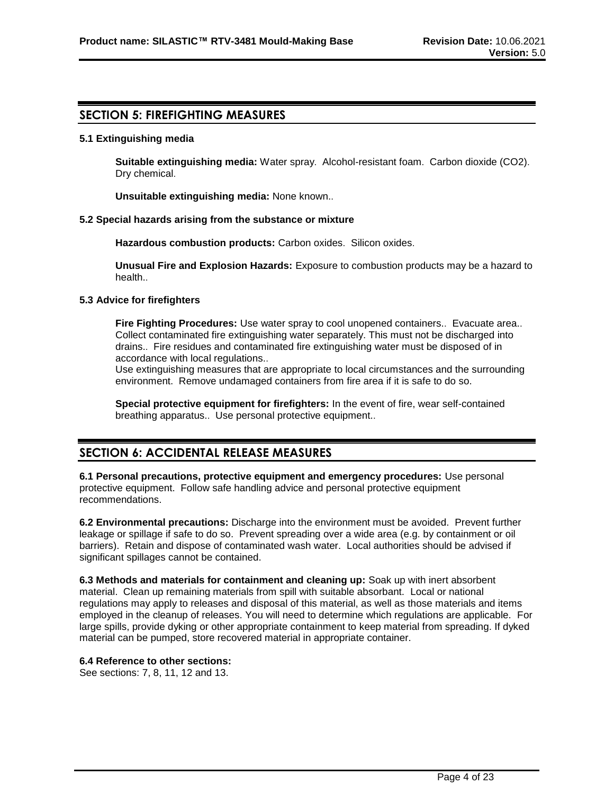# **SECTION 5: FIREFIGHTING MEASURES**

#### **5.1 Extinguishing media**

**Suitable extinguishing media:** Water spray. Alcohol-resistant foam. Carbon dioxide (CO2). Dry chemical.

**Unsuitable extinguishing media:** None known..

#### **5.2 Special hazards arising from the substance or mixture**

**Hazardous combustion products:** Carbon oxides. Silicon oxides.

**Unusual Fire and Explosion Hazards:** Exposure to combustion products may be a hazard to health..

#### **5.3 Advice for firefighters**

**Fire Fighting Procedures:** Use water spray to cool unopened containers.. Evacuate area.. Collect contaminated fire extinguishing water separately. This must not be discharged into drains.. Fire residues and contaminated fire extinguishing water must be disposed of in accordance with local regulations..

Use extinguishing measures that are appropriate to local circumstances and the surrounding environment. Remove undamaged containers from fire area if it is safe to do so.

**Special protective equipment for firefighters:** In the event of fire, wear self-contained breathing apparatus.. Use personal protective equipment..

# **SECTION 6: ACCIDENTAL RELEASE MEASURES**

**6.1 Personal precautions, protective equipment and emergency procedures:** Use personal protective equipment. Follow safe handling advice and personal protective equipment recommendations.

**6.2 Environmental precautions:** Discharge into the environment must be avoided. Prevent further leakage or spillage if safe to do so. Prevent spreading over a wide area (e.g. by containment or oil barriers). Retain and dispose of contaminated wash water. Local authorities should be advised if significant spillages cannot be contained.

**6.3 Methods and materials for containment and cleaning up:** Soak up with inert absorbent material. Clean up remaining materials from spill with suitable absorbant. Local or national regulations may apply to releases and disposal of this material, as well as those materials and items employed in the cleanup of releases. You will need to determine which regulations are applicable. For large spills, provide dyking or other appropriate containment to keep material from spreading. If dyked material can be pumped, store recovered material in appropriate container.

#### **6.4 Reference to other sections:**

See sections: 7, 8, 11, 12 and 13.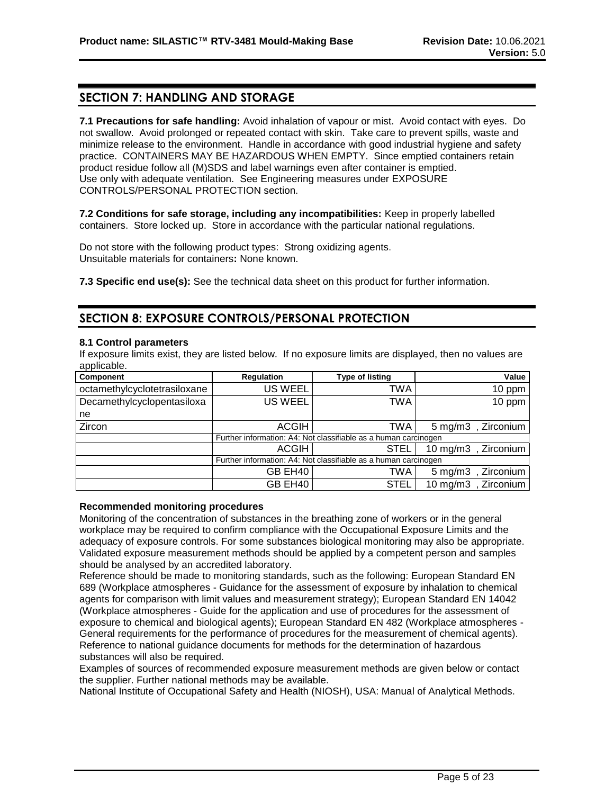# **SECTION 7: HANDLING AND STORAGE**

**7.1 Precautions for safe handling:** Avoid inhalation of vapour or mist. Avoid contact with eyes. Do not swallow. Avoid prolonged or repeated contact with skin. Take care to prevent spills, waste and minimize release to the environment. Handle in accordance with good industrial hygiene and safety practice. CONTAINERS MAY BE HAZARDOUS WHEN EMPTY. Since emptied containers retain product residue follow all (M)SDS and label warnings even after container is emptied. Use only with adequate ventilation. See Engineering measures under EXPOSURE CONTROLS/PERSONAL PROTECTION section.

**7.2 Conditions for safe storage, including any incompatibilities:** Keep in properly labelled containers. Store locked up. Store in accordance with the particular national regulations.

Do not store with the following product types: Strong oxidizing agents. Unsuitable materials for containers**:** None known.

**7.3 Specific end use(s):** See the technical data sheet on this product for further information.

# **SECTION 8: EXPOSURE CONTROLS/PERSONAL PROTECTION**

#### **8.1 Control parameters**

If exposure limits exist, they are listed below. If no exposure limits are displayed, then no values are applicable.

| Component                    | <b>Regulation</b> | <b>Type of listing</b>                                          | Value                              |
|------------------------------|-------------------|-----------------------------------------------------------------|------------------------------------|
| octamethylcyclotetrasiloxane | <b>US WEEL</b>    | TWA                                                             | 10 ppm                             |
| Decamethylcyclopentasiloxa   | <b>US WEEL</b>    | TWA                                                             | 10 ppm                             |
| ne                           |                   |                                                                 |                                    |
| Zircon                       | <b>ACGIH</b>      | TWA                                                             | $5 \text{ mg/m}$ 3<br>Zirconium    |
|                              |                   | Further information: A4: Not classifiable as a human carcinogen |                                    |
|                              | <b>ACGIH</b>      | <b>STEL</b>                                                     | , Zirconium<br>$10 \text{ mg/m}$ 3 |
|                              |                   | Further information: A4: Not classifiable as a human carcinogen |                                    |
|                              | GB EH40           | TWA                                                             | $5 \text{ mg/m}$ 3<br>, Zirconium  |
|                              | GB EH40           | <b>STEL</b>                                                     | $10 \text{ mg/m}$<br>, Zirconium   |

#### **Recommended monitoring procedures**

Monitoring of the concentration of substances in the breathing zone of workers or in the general workplace may be required to confirm compliance with the Occupational Exposure Limits and the adequacy of exposure controls. For some substances biological monitoring may also be appropriate. Validated exposure measurement methods should be applied by a competent person and samples should be analysed by an accredited laboratory.

Reference should be made to monitoring standards, such as the following: European Standard EN 689 (Workplace atmospheres - Guidance for the assessment of exposure by inhalation to chemical agents for comparison with limit values and measurement strategy); European Standard EN 14042 (Workplace atmospheres - Guide for the application and use of procedures for the assessment of exposure to chemical and biological agents); European Standard EN 482 (Workplace atmospheres - General requirements for the performance of procedures for the measurement of chemical agents). Reference to national guidance documents for methods for the determination of hazardous substances will also be required.

Examples of sources of recommended exposure measurement methods are given below or contact the supplier. Further national methods may be available.

National Institute of Occupational Safety and Health (NIOSH), USA: Manual of Analytical Methods.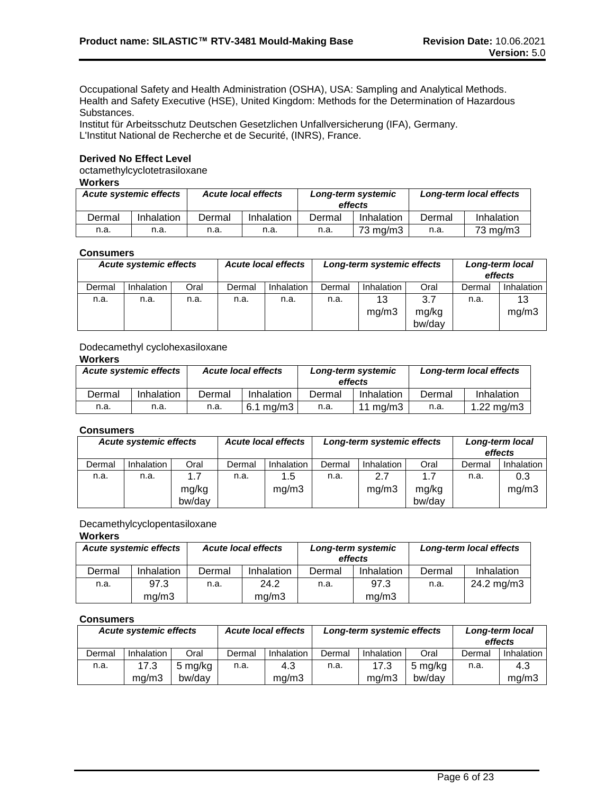Occupational Safety and Health Administration (OSHA), USA: Sampling and Analytical Methods. Health and Safety Executive (HSE), United Kingdom: Methods for the Determination of Hazardous Substances.

Institut für Arbeitsschutz Deutschen Gesetzlichen Unfallversicherung (IFA), Germany. L'Institut National de Recherche et de Securité, (INRS), France.

### **Derived No Effect Level**

octamethylcyclotetrasiloxane

# **Workers**

| <b>Acute systemic effects</b><br><b>Acute local effects</b> |            |        | Long-term systemic<br>effects |        | Long-term local effects |        |            |
|-------------------------------------------------------------|------------|--------|-------------------------------|--------|-------------------------|--------|------------|
| Dermal                                                      | Inhalation | Dermal | Inhalation                    | Dermal | Inhalation              | Dermal | Inhalation |
| n.a.                                                        | n.a.       | n.a.   | n.a.                          | n.a.   | 73 ma/m3                | n.a.   | 73 mg/m3   |

#### **Consumers**

| ----------- |                                                             |      |        |                            |                            |            |        |        |            |
|-------------|-------------------------------------------------------------|------|--------|----------------------------|----------------------------|------------|--------|--------|------------|
|             | <b>Acute systemic effects</b><br><b>Acute local effects</b> |      |        | Long-term systemic effects | Long-term local<br>effects |            |        |        |            |
| Dermal      | <b>Inhalation</b>                                           | Oral | Dermal | Inhalation                 | Dermal                     | Inhalation | Oral   | Dermal | Inhalation |
| n.a.        | n.a.                                                        | n.a. | n.a.   | n.a.                       | n.a.                       | 13         | 3.7    | n.a.   | 13         |
|             |                                                             |      |        |                            |                            | mg/m3      | mg/kg  |        | mg/m3      |
|             |                                                             |      |        |                            |                            |            | bw/day |        |            |

# Dodecamethyl cyclohexasiloxane

### **Workers**

| <b>Acute systemic effects</b><br><b>Acute local effects</b> |            |        | Long-term systemic<br>effects |        | Long-term local effects |        |              |
|-------------------------------------------------------------|------------|--------|-------------------------------|--------|-------------------------|--------|--------------|
| Dermal                                                      | Inhalation | Dermal | Inhalation                    | Dermal | Inhalation              | Dermal | Inhalation   |
| n.a.                                                        | n.a.       | n.a.   | $6.1 \text{ ma/m}$ 3          | n.a.   | 11 ma/m3                | n.a.   | 1.22 $mg/m3$ |

#### **Consumers**

| <b>Acute systemic effects</b> |            |                        | <b>Acute local effects</b> |                   | Long-term systemic effects |              |                        | Long-term local<br>effects |              |
|-------------------------------|------------|------------------------|----------------------------|-------------------|----------------------------|--------------|------------------------|----------------------------|--------------|
| Dermal                        | Inhalation | Oral                   | Dermal                     | <b>Inhalation</b> | Dermal                     | Inhalation   | Oral                   | Dermal                     | Inhalation   |
| n.a.                          | n.a.       | 1.7<br>mg/kg<br>bw/day | n.a.                       | 1.5<br>mg/m3      | n.a.                       | 2.7<br>mg/m3 | 1.7<br>mg/kg<br>bw/day | n.a.                       | 0.3<br>mg/m3 |

# Decamethylcyclopentasiloxane

### **Workers**

| <b>Acute systemic effects</b> |               |        | <b>Acute local effects</b> |        | Long-term systemic<br>effects | Long-term local effects |            |  |
|-------------------------------|---------------|--------|----------------------------|--------|-------------------------------|-------------------------|------------|--|
| Dermal                        | Inhalation    | Dermal | Inhalation                 | Dermal | Inhalation                    | Dermal                  | Inhalation |  |
| n.a.                          | 97.3<br>mq/m3 | n.a.   | 24.2<br>mq/m3              | n.a.   | 97.3<br>mq/m3                 | n.a.                    | 24.2 mg/m3 |  |

# **Consumers**

| _ _ _ _ _ _ _ _ _ _ _ _ |                                                             |         |                            |                   |        |                            |         |        |            |
|-------------------------|-------------------------------------------------------------|---------|----------------------------|-------------------|--------|----------------------------|---------|--------|------------|
|                         | <b>Acute local effects</b><br><b>Acute systemic effects</b> |         | Long-term systemic effects |                   |        | Long-term local<br>effects |         |        |            |
| Dermal                  | Inhalation                                                  | Oral    | Dermal                     | <b>Inhalation</b> | Dermal | Inhalation                 | Oral    | Dermal | Inhalation |
| n.a.                    | 17.3                                                        | 5 mg/kg | n.a.                       | 4.3               | n.a.   | 17.3                       | 5 mg/kg | n.a.   | 4.3        |
|                         | mq/m3                                                       | bw/dav  |                            | ma/m3             |        | ma/m3                      | bw/dav  |        | mq/m3      |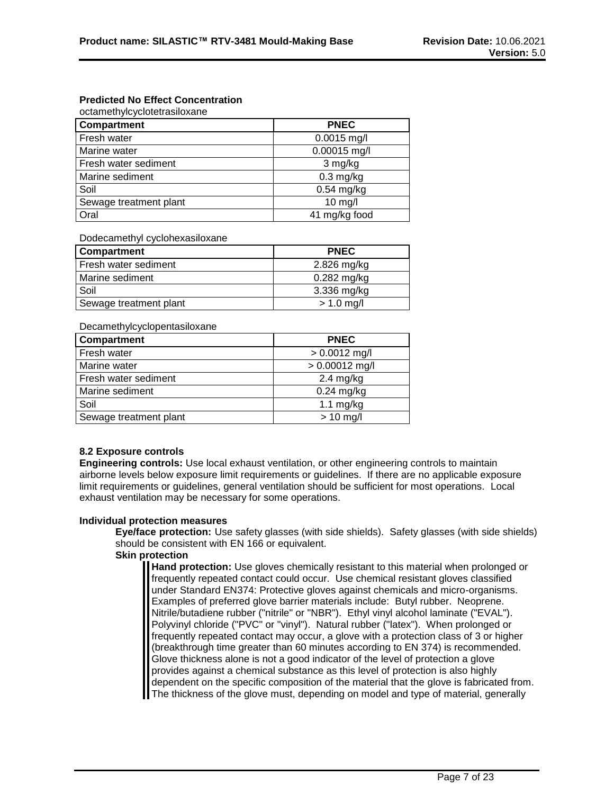# **Predicted No Effect Concentration**

| Compartment            | <b>PNEC</b>   |
|------------------------|---------------|
| Fresh water            | $0.0015$ mg/l |
| Marine water           | 0.00015 mg/l  |
| Fresh water sediment   | 3 mg/kg       |
| Marine sediment        | $0.3$ mg/kg   |
| Soil                   | $0.54$ mg/kg  |
| Sewage treatment plant | $10$ mg/l     |
| Oral                   | 41 mg/kg food |

Dodecamethyl cyclohexasiloxane

| <b>Compartment</b>     | <b>PNEC</b>   |
|------------------------|---------------|
| Fresh water sediment   | 2.826 mg/kg   |
| Marine sediment        | $0.282$ mg/kg |
| Soil                   | 3.336 mg/kg   |
| Sewage treatment plant | $> 1.0$ mg/l  |

Decamethylcyclopentasiloxane

| Compartment            | <b>PNEC</b>      |
|------------------------|------------------|
| Fresh water            | $> 0.0012$ mg/l  |
| Marine water           | $> 0.00012$ mg/l |
| Fresh water sediment   | $2.4$ mg/kg      |
| Marine sediment        | $0.24$ mg/kg     |
| Soil                   | $1.1$ mg/kg      |
| Sewage treatment plant | $> 10$ mg/l      |

# **8.2 Exposure controls**

**Engineering controls:** Use local exhaust ventilation, or other engineering controls to maintain airborne levels below exposure limit requirements or guidelines. If there are no applicable exposure limit requirements or guidelines, general ventilation should be sufficient for most operations. Local exhaust ventilation may be necessary for some operations.

# **Individual protection measures**

**Eye/face protection:** Use safety glasses (with side shields). Safety glasses (with side shields) should be consistent with EN 166 or equivalent.

# **Skin protection**

**Hand protection:** Use gloves chemically resistant to this material when prolonged or frequently repeated contact could occur. Use chemical resistant gloves classified under Standard EN374: Protective gloves against chemicals and micro-organisms. Examples of preferred glove barrier materials include: Butyl rubber. Neoprene. Nitrile/butadiene rubber ("nitrile" or "NBR"). Ethyl vinyl alcohol laminate ("EVAL"). Polyvinyl chloride ("PVC" or "vinyl"). Natural rubber ("latex"). When prolonged or frequently repeated contact may occur, a glove with a protection class of 3 or higher (breakthrough time greater than 60 minutes according to EN 374) is recommended. Glove thickness alone is not a good indicator of the level of protection a glove provides against a chemical substance as this level of protection is also highly dependent on the specific composition of the material that the glove is fabricated from. The thickness of the glove must, depending on model and type of material, generally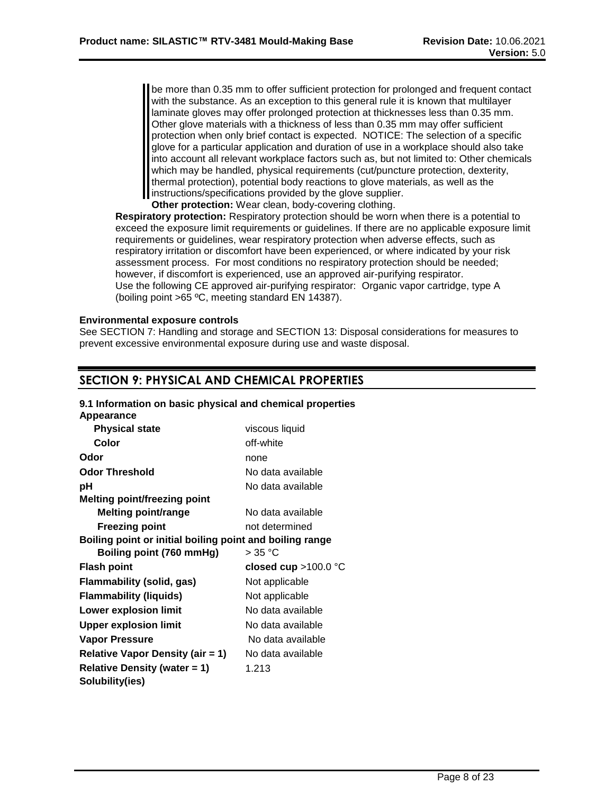be more than 0.35 mm to offer sufficient protection for prolonged and frequent contact with the substance. As an exception to this general rule it is known that multilayer laminate gloves may offer prolonged protection at thicknesses less than 0.35 mm. Other glove materials with a thickness of less than 0.35 mm may offer sufficient protection when only brief contact is expected. NOTICE: The selection of a specific glove for a particular application and duration of use in a workplace should also take into account all relevant workplace factors such as, but not limited to: Other chemicals which may be handled, physical requirements (cut/puncture protection, dexterity, thermal protection), potential body reactions to glove materials, as well as the I instructions/specifications provided by the glove supplier.

**Other protection:** Wear clean, body-covering clothing.

**Respiratory protection:** Respiratory protection should be worn when there is a potential to exceed the exposure limit requirements or quidelines. If there are no applicable exposure limit requirements or guidelines, wear respiratory protection when adverse effects, such as respiratory irritation or discomfort have been experienced, or where indicated by your risk assessment process. For most conditions no respiratory protection should be needed; however, if discomfort is experienced, use an approved air-purifying respirator. Use the following CE approved air-purifying respirator: Organic vapor cartridge, type A (boiling point >65 ºC, meeting standard EN 14387).

# **Environmental exposure controls**

See SECTION 7: Handling and storage and SECTION 13: Disposal considerations for measures to prevent excessive environmental exposure during use and waste disposal.

# **SECTION 9: PHYSICAL AND CHEMICAL PROPERTIES**

#### **9.1 Information on basic physical and chemical properties Appearance Physical state** viscous liquid

| г нуэклаг этаг <del>с</del>                              | viscous liquiu         |
|----------------------------------------------------------|------------------------|
| Color                                                    | off-white              |
| Odor                                                     | none                   |
| <b>Odor Threshold</b>                                    | No data available      |
| рH                                                       | No data available      |
| <b>Melting point/freezing point</b>                      |                        |
| <b>Melting point/range</b>                               | No data available      |
| <b>Freezing point</b>                                    | not determined         |
| Boiling point or initial boiling point and boiling range |                        |
| Boiling point (760 mmHg)                                 | $>35\text{ °C}$        |
|                                                          |                        |
| <b>Flash point</b>                                       | closed cup $>100.0$ °C |
| Flammability (solid, gas)                                | Not applicable         |
| <b>Flammability (liquids)</b>                            | Not applicable         |
| <b>Lower explosion limit</b>                             | No data available      |
| <b>Upper explosion limit</b>                             | No data available      |
| Vapor Pressure                                           | No data available      |
| <b>Relative Vapor Density (air = 1)</b>                  | No data available      |
| <b>Relative Density (water = 1)</b><br>Solubility(ies)   | 1.213                  |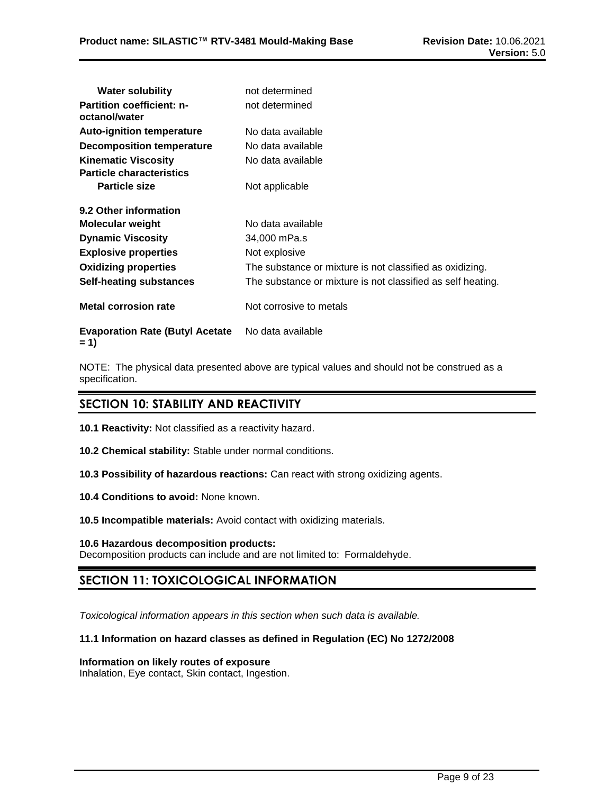| <b>Water solubility</b>                           | not determined                                              |
|---------------------------------------------------|-------------------------------------------------------------|
| <b>Partition coefficient: n-</b><br>octanol/water | not determined                                              |
| <b>Auto-ignition temperature</b>                  | No data available                                           |
| <b>Decomposition temperature</b>                  | No data available                                           |
| <b>Kinematic Viscosity</b>                        | No data available                                           |
| <b>Particle characteristics</b>                   |                                                             |
| <b>Particle size</b>                              | Not applicable                                              |
| 9.2 Other information                             |                                                             |
| Molecular weight                                  | No data available                                           |
| <b>Dynamic Viscosity</b>                          | 34,000 mPa.s                                                |
| <b>Explosive properties</b>                       | Not explosive                                               |
| <b>Oxidizing properties</b>                       | The substance or mixture is not classified as oxidizing.    |
| <b>Self-heating substances</b>                    | The substance or mixture is not classified as self heating. |
| <b>Metal corrosion rate</b>                       | Not corrosive to metals                                     |
| <b>Evaporation Rate (Butyl Acetate)</b>           | No data available                                           |

```
= 1)
```
NOTE: The physical data presented above are typical values and should not be construed as a specification.

# **SECTION 10: STABILITY AND REACTIVITY**

**10.1 Reactivity:** Not classified as a reactivity hazard.

**10.2 Chemical stability:** Stable under normal conditions.

- **10.3 Possibility of hazardous reactions:** Can react with strong oxidizing agents.
- **10.4 Conditions to avoid:** None known.
- **10.5 Incompatible materials:** Avoid contact with oxidizing materials.

#### **10.6 Hazardous decomposition products:** Decomposition products can include and are not limited to: Formaldehyde.

# **SECTION 11: TOXICOLOGICAL INFORMATION**

*Toxicological information appears in this section when such data is available.*

# **11.1 Information on hazard classes as defined in Regulation (EC) No 1272/2008**

# **Information on likely routes of exposure**

Inhalation, Eye contact, Skin contact, Ingestion.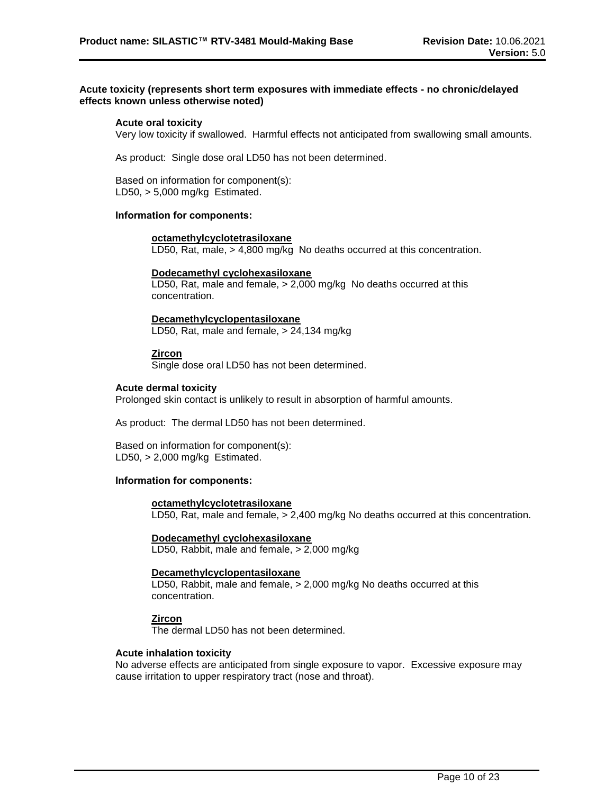### **Acute toxicity (represents short term exposures with immediate effects - no chronic/delayed effects known unless otherwise noted)**

### **Acute oral toxicity**

Very low toxicity if swallowed. Harmful effects not anticipated from swallowing small amounts.

As product: Single dose oral LD50 has not been determined.

Based on information for component(s): LD50, > 5,000 mg/kg Estimated.

# **Information for components:**

#### **octamethylcyclotetrasiloxane**

LD50, Rat, male, > 4,800 mg/kg No deaths occurred at this concentration.

#### **Dodecamethyl cyclohexasiloxane**

LD50, Rat, male and female, > 2,000 mg/kg No deaths occurred at this concentration.

**Decamethylcyclopentasiloxane** LD50, Rat, male and female, > 24,134 mg/kg

#### **Zircon**

Single dose oral LD50 has not been determined.

#### **Acute dermal toxicity**

Prolonged skin contact is unlikely to result in absorption of harmful amounts.

As product: The dermal LD50 has not been determined.

Based on information for component(s): LD50, > 2,000 mg/kg Estimated.

### **Information for components:**

# **octamethylcyclotetrasiloxane**

LD50, Rat, male and female, > 2,400 mg/kg No deaths occurred at this concentration.

#### **Dodecamethyl cyclohexasiloxane**

LD50, Rabbit, male and female, > 2,000 mg/kg

#### **Decamethylcyclopentasiloxane**

LD50, Rabbit, male and female, > 2,000 mg/kg No deaths occurred at this concentration.

# **Zircon**

The dermal LD50 has not been determined.

#### **Acute inhalation toxicity**

No adverse effects are anticipated from single exposure to vapor. Excessive exposure may cause irritation to upper respiratory tract (nose and throat).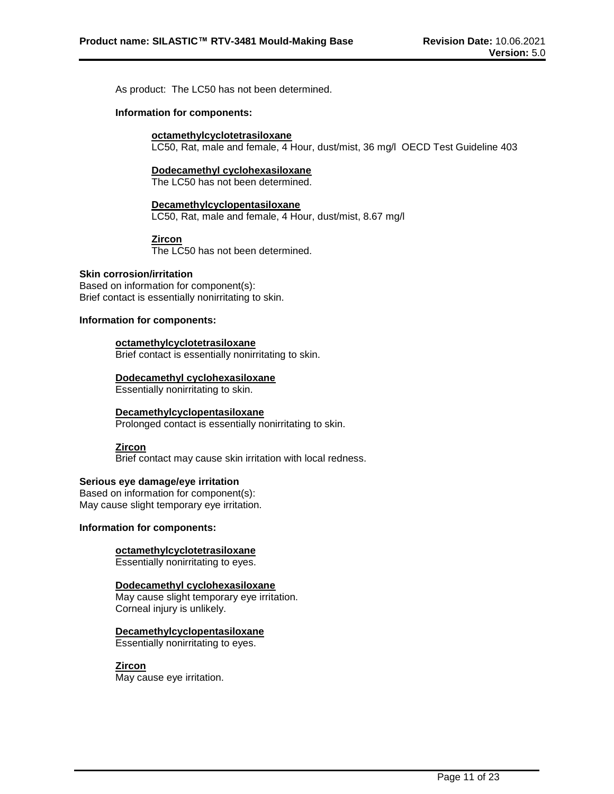As product: The LC50 has not been determined.

#### **Information for components:**

#### **octamethylcyclotetrasiloxane**

LC50, Rat, male and female, 4 Hour, dust/mist, 36 mg/l OECD Test Guideline 403

#### **Dodecamethyl cyclohexasiloxane**

The LC50 has not been determined.

# **Decamethylcyclopentasiloxane**

LC50, Rat, male and female, 4 Hour, dust/mist, 8.67 mg/l

# **Zircon**

The LC50 has not been determined.

#### **Skin corrosion/irritation**

Based on information for component(s): Brief contact is essentially nonirritating to skin.

### **Information for components:**

#### **octamethylcyclotetrasiloxane**

Brief contact is essentially nonirritating to skin.

#### **Dodecamethyl cyclohexasiloxane**

Essentially nonirritating to skin.

# **Decamethylcyclopentasiloxane**

Prolonged contact is essentially nonirritating to skin.

#### **Zircon**

Brief contact may cause skin irritation with local redness.

# **Serious eye damage/eye irritation**

Based on information for component(s): May cause slight temporary eye irritation.

#### **Information for components:**

# **octamethylcyclotetrasiloxane**

Essentially nonirritating to eyes.

# **Dodecamethyl cyclohexasiloxane**

May cause slight temporary eye irritation. Corneal injury is unlikely.

# **Decamethylcyclopentasiloxane**

Essentially nonirritating to eyes.

# **Zircon**

May cause eye irritation.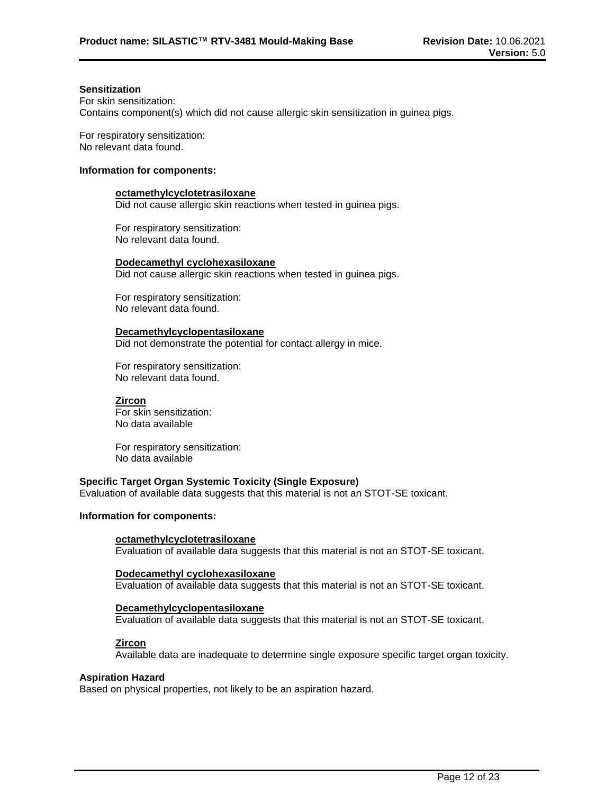#### **Sensitization**

For skin sensitization: Contains component(s) which did not cause allergic skin sensitization in guinea pigs.

For respiratory sensitization: No relevant data found.

#### **Information for components:**

### **octamethylcyclotetrasiloxane**

Did not cause allergic skin reactions when tested in guinea pigs.

For respiratory sensitization: No relevant data found.

#### **Dodecamethyl cyclohexasiloxane**

Did not cause allergic skin reactions when tested in guinea pigs.

For respiratory sensitization: No relevant data found.

#### **Decamethylcyclopentasiloxane**

Did not demonstrate the potential for contact allergy in mice.

For respiratory sensitization: No relevant data found.

#### **Zircon**

For skin sensitization: No data available

For respiratory sensitization: No data available

#### **Specific Target Organ Systemic Toxicity (Single Exposure)**

Evaluation of available data suggests that this material is not an STOT-SE toxicant.

# **Information for components:**

#### **octamethylcyclotetrasiloxane**

Evaluation of available data suggests that this material is not an STOT-SE toxicant.

#### **Dodecamethyl cyclohexasiloxane**

Evaluation of available data suggests that this material is not an STOT-SE toxicant.

#### **Decamethylcyclopentasiloxane**

Evaluation of available data suggests that this material is not an STOT-SE toxicant.

# **Zircon**

Available data are inadequate to determine single exposure specific target organ toxicity.

#### **Aspiration Hazard**

Based on physical properties, not likely to be an aspiration hazard.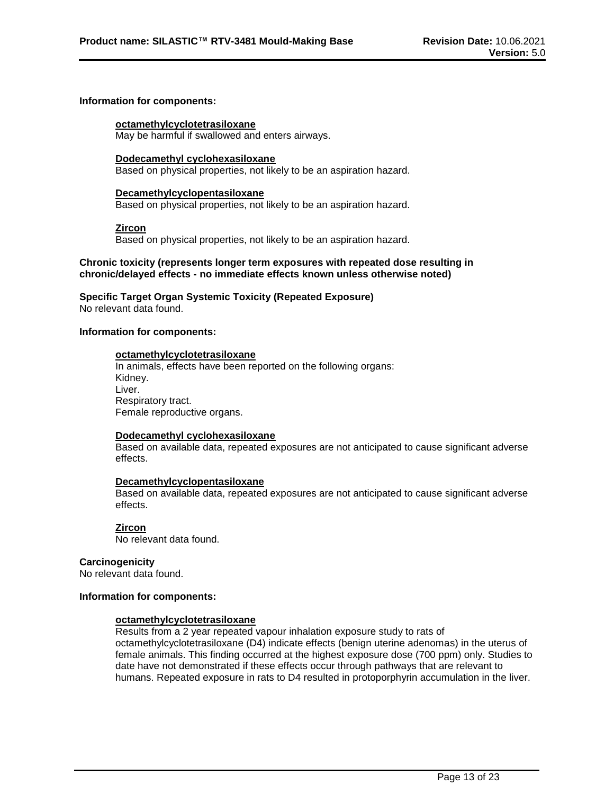### **Information for components:**

#### **octamethylcyclotetrasiloxane**

May be harmful if swallowed and enters airways.

#### **Dodecamethyl cyclohexasiloxane**

Based on physical properties, not likely to be an aspiration hazard.

#### **Decamethylcyclopentasiloxane**

Based on physical properties, not likely to be an aspiration hazard.

**Zircon**

Based on physical properties, not likely to be an aspiration hazard.

### **Chronic toxicity (represents longer term exposures with repeated dose resulting in chronic/delayed effects - no immediate effects known unless otherwise noted)**

# **Specific Target Organ Systemic Toxicity (Repeated Exposure)**

No relevant data found.

# **Information for components:**

#### **octamethylcyclotetrasiloxane**

In animals, effects have been reported on the following organs: Kidney. Liver. Respiratory tract. Female reproductive organs.

# **Dodecamethyl cyclohexasiloxane**

Based on available data, repeated exposures are not anticipated to cause significant adverse effects.

# **Decamethylcyclopentasiloxane**

Based on available data, repeated exposures are not anticipated to cause significant adverse effects.

# **Zircon**

No relevant data found.

# **Carcinogenicity**

No relevant data found.

### **Information for components:**

# **octamethylcyclotetrasiloxane**

Results from a 2 year repeated vapour inhalation exposure study to rats of octamethylcyclotetrasiloxane (D4) indicate effects (benign uterine adenomas) in the uterus of female animals. This finding occurred at the highest exposure dose (700 ppm) only. Studies to date have not demonstrated if these effects occur through pathways that are relevant to humans. Repeated exposure in rats to D4 resulted in protoporphyrin accumulation in the liver.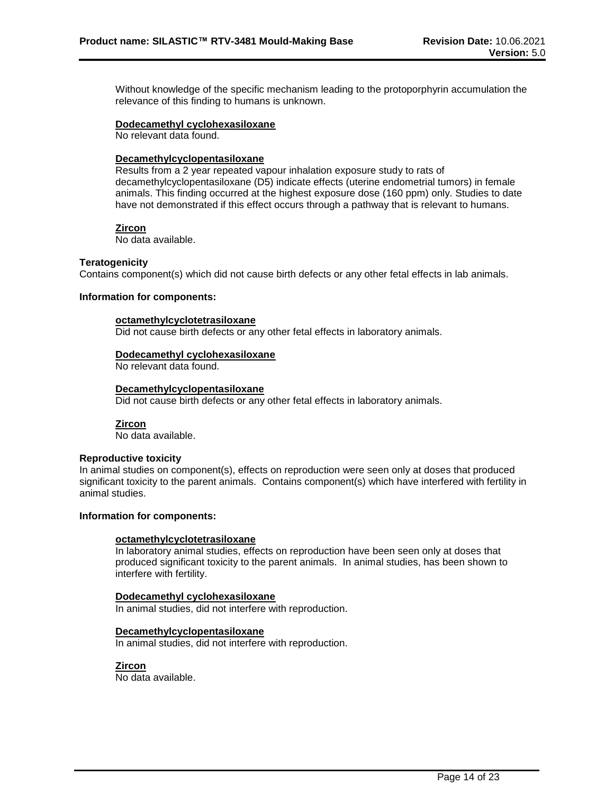Without knowledge of the specific mechanism leading to the protoporphyrin accumulation the relevance of this finding to humans is unknown.

#### **Dodecamethyl cyclohexasiloxane**

No relevant data found.

# **Decamethylcyclopentasiloxane**

Results from a 2 year repeated vapour inhalation exposure study to rats of decamethylcyclopentasiloxane (D5) indicate effects (uterine endometrial tumors) in female animals. This finding occurred at the highest exposure dose (160 ppm) only. Studies to date have not demonstrated if this effect occurs through a pathway that is relevant to humans.

#### **Zircon**

No data available.

#### **Teratogenicity**

Contains component(s) which did not cause birth defects or any other fetal effects in lab animals.

#### **Information for components:**

#### **octamethylcyclotetrasiloxane**

Did not cause birth defects or any other fetal effects in laboratory animals.

#### **Dodecamethyl cyclohexasiloxane**

No relevant data found.

#### **Decamethylcyclopentasiloxane**

Did not cause birth defects or any other fetal effects in laboratory animals.

# **Zircon**

No data available.

#### **Reproductive toxicity**

In animal studies on component(s), effects on reproduction were seen only at doses that produced significant toxicity to the parent animals. Contains component(s) which have interfered with fertility in animal studies.

#### **Information for components:**

#### **octamethylcyclotetrasiloxane**

In laboratory animal studies, effects on reproduction have been seen only at doses that produced significant toxicity to the parent animals. In animal studies, has been shown to interfere with fertility.

# **Dodecamethyl cyclohexasiloxane**

In animal studies, did not interfere with reproduction.

# **Decamethylcyclopentasiloxane**

In animal studies, did not interfere with reproduction.

# **Zircon**

No data available.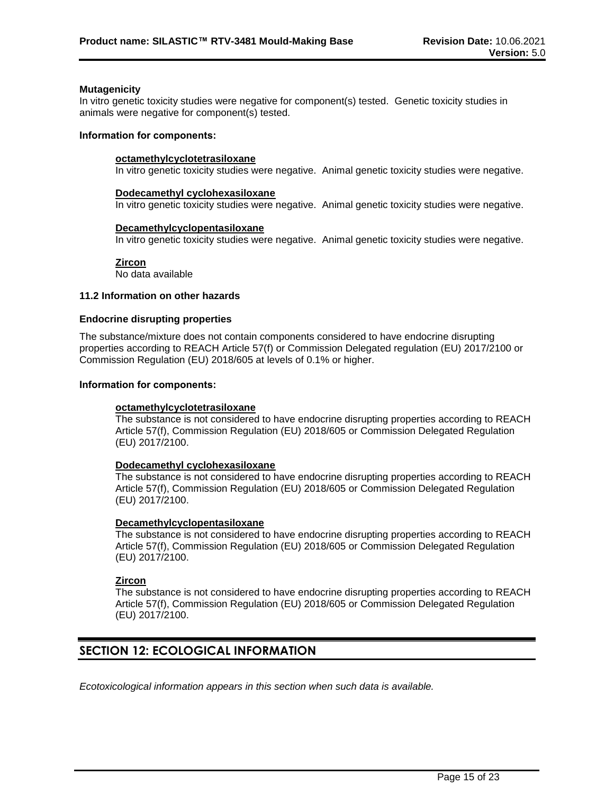#### **Mutagenicity**

In vitro genetic toxicity studies were negative for component(s) tested. Genetic toxicity studies in animals were negative for component(s) tested.

#### **Information for components:**

### **octamethylcyclotetrasiloxane**

In vitro genetic toxicity studies were negative. Animal genetic toxicity studies were negative.

#### **Dodecamethyl cyclohexasiloxane**

In vitro genetic toxicity studies were negative. Animal genetic toxicity studies were negative.

#### **Decamethylcyclopentasiloxane**

In vitro genetic toxicity studies were negative. Animal genetic toxicity studies were negative.

#### **Zircon**

No data available

#### **11.2 Information on other hazards**

#### **Endocrine disrupting properties**

The substance/mixture does not contain components considered to have endocrine disrupting properties according to REACH Article 57(f) or Commission Delegated regulation (EU) 2017/2100 or Commission Regulation (EU) 2018/605 at levels of 0.1% or higher.

#### **Information for components:**

# **octamethylcyclotetrasiloxane**

The substance is not considered to have endocrine disrupting properties according to REACH Article 57(f), Commission Regulation (EU) 2018/605 or Commission Delegated Regulation (EU) 2017/2100.

# **Dodecamethyl cyclohexasiloxane**

The substance is not considered to have endocrine disrupting properties according to REACH Article 57(f), Commission Regulation (EU) 2018/605 or Commission Delegated Regulation (EU) 2017/2100.

# **Decamethylcyclopentasiloxane**

The substance is not considered to have endocrine disrupting properties according to REACH Article 57(f), Commission Regulation (EU) 2018/605 or Commission Delegated Regulation (EU) 2017/2100.

# **Zircon**

The substance is not considered to have endocrine disrupting properties according to REACH Article 57(f), Commission Regulation (EU) 2018/605 or Commission Delegated Regulation (EU) 2017/2100.

# **SECTION 12: ECOLOGICAL INFORMATION**

*Ecotoxicological information appears in this section when such data is available.*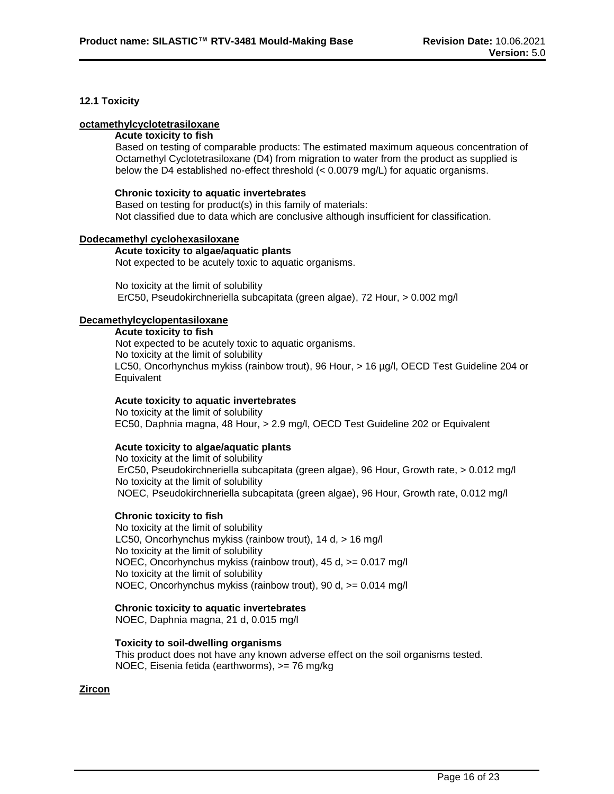# **12.1 Toxicity**

### **octamethylcyclotetrasiloxane**

#### **Acute toxicity to fish**

Based on testing of comparable products: The estimated maximum aqueous concentration of Octamethyl Cyclotetrasiloxane (D4) from migration to water from the product as supplied is below the D4 established no-effect threshold (< 0.0079 mg/L) for aquatic organisms.

#### **Chronic toxicity to aquatic invertebrates**

Based on testing for product(s) in this family of materials: Not classified due to data which are conclusive although insufficient for classification.

# **Dodecamethyl cyclohexasiloxane**

#### **Acute toxicity to algae/aquatic plants**

Not expected to be acutely toxic to aquatic organisms.

No toxicity at the limit of solubility ErC50, Pseudokirchneriella subcapitata (green algae), 72 Hour, > 0.002 mg/l

#### **Decamethylcyclopentasiloxane**

#### **Acute toxicity to fish**

Not expected to be acutely toxic to aquatic organisms. No toxicity at the limit of solubility LC50, Oncorhynchus mykiss (rainbow trout), 96 Hour, > 16 µg/l, OECD Test Guideline 204 or **Equivalent** 

# **Acute toxicity to aquatic invertebrates**

No toxicity at the limit of solubility EC50, Daphnia magna, 48 Hour, > 2.9 mg/l, OECD Test Guideline 202 or Equivalent

# **Acute toxicity to algae/aquatic plants**

No toxicity at the limit of solubility ErC50, Pseudokirchneriella subcapitata (green algae), 96 Hour, Growth rate, > 0.012 mg/l No toxicity at the limit of solubility NOEC, Pseudokirchneriella subcapitata (green algae), 96 Hour, Growth rate, 0.012 mg/l

# **Chronic toxicity to fish**

No toxicity at the limit of solubility LC50, Oncorhynchus mykiss (rainbow trout), 14 d, > 16 mg/l No toxicity at the limit of solubility NOEC, Oncorhynchus mykiss (rainbow trout), 45 d, >= 0.017 mg/l No toxicity at the limit of solubility NOEC, Oncorhynchus mykiss (rainbow trout), 90 d, >= 0.014 mg/l

# **Chronic toxicity to aquatic invertebrates**

NOEC, Daphnia magna, 21 d, 0.015 mg/l

# **Toxicity to soil-dwelling organisms**

This product does not have any known adverse effect on the soil organisms tested. NOEC, Eisenia fetida (earthworms), >= 76 mg/kg

# **Zircon**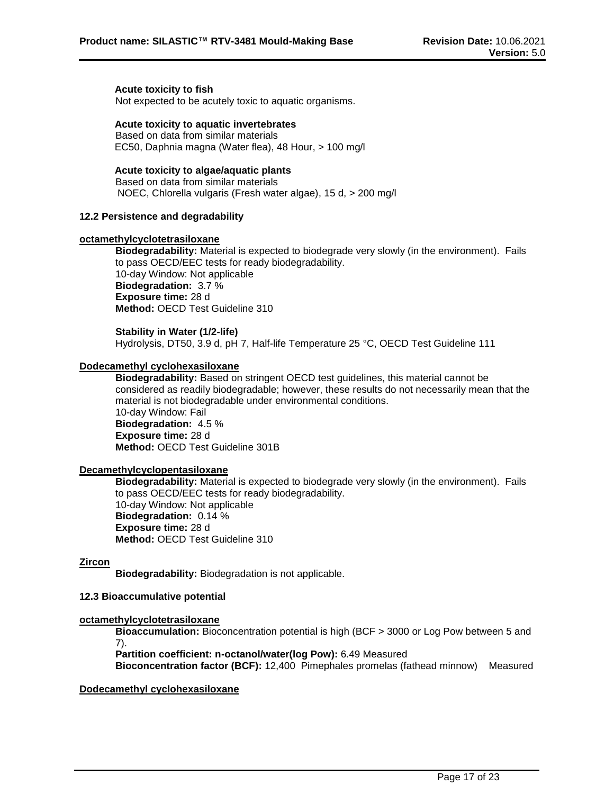#### **Acute toxicity to fish**

Not expected to be acutely toxic to aquatic organisms.

#### **Acute toxicity to aquatic invertebrates**

Based on data from similar materials EC50, Daphnia magna (Water flea), 48 Hour, > 100 mg/l

# **Acute toxicity to algae/aquatic plants**

Based on data from similar materials NOEC, Chlorella vulgaris (Fresh water algae), 15 d, > 200 mg/l

### **12.2 Persistence and degradability**

#### **octamethylcyclotetrasiloxane**

**Biodegradability:** Material is expected to biodegrade very slowly (in the environment). Fails to pass OECD/EEC tests for ready biodegradability. 10-day Window: Not applicable **Biodegradation:** 3.7 % **Exposure time:** 28 d **Method:** OECD Test Guideline 310

#### **Stability in Water (1/2-life)**

Hydrolysis, DT50, 3.9 d, pH 7, Half-life Temperature 25 °C, OECD Test Guideline 111

### **Dodecamethyl cyclohexasiloxane**

**Biodegradability:** Based on stringent OECD test guidelines, this material cannot be considered as readily biodegradable; however, these results do not necessarily mean that the material is not biodegradable under environmental conditions. 10-day Window: Fail **Biodegradation:** 4.5 % **Exposure time:** 28 d **Method:** OECD Test Guideline 301B

### **Decamethylcyclopentasiloxane**

**Biodegradability:** Material is expected to biodegrade very slowly (in the environment). Fails to pass OECD/EEC tests for ready biodegradability. 10-day Window: Not applicable **Biodegradation:** 0.14 % **Exposure time:** 28 d **Method:** OECD Test Guideline 310

# **Zircon**

**Biodegradability:** Biodegradation is not applicable.

# **12.3 Bioaccumulative potential**

#### **octamethylcyclotetrasiloxane**

**Bioaccumulation:** Bioconcentration potential is high (BCF > 3000 or Log Pow between 5 and 7).

**Partition coefficient: n-octanol/water(log Pow):** 6.49 Measured

**Bioconcentration factor (BCF):** 12,400 Pimephales promelas (fathead minnow) Measured

#### **Dodecamethyl cyclohexasiloxane**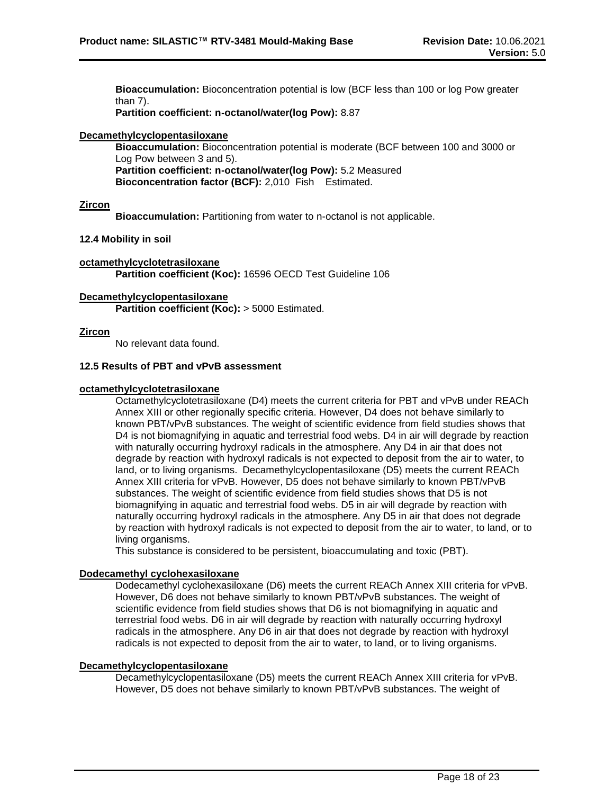**Bioaccumulation:** Bioconcentration potential is low (BCF less than 100 or log Pow greater than 7).

**Partition coefficient: n-octanol/water(log Pow):** 8.87

# **Decamethylcyclopentasiloxane**

**Bioaccumulation:** Bioconcentration potential is moderate (BCF between 100 and 3000 or Log Pow between 3 and 5). **Partition coefficient: n-octanol/water(log Pow):** 5.2 Measured **Bioconcentration factor (BCF):** 2,010 Fish Estimated.

# **Zircon**

**Bioaccumulation:** Partitioning from water to n-octanol is not applicable.

# **12.4 Mobility in soil**

**octamethylcyclotetrasiloxane Partition coefficient (Koc):** 16596 OECD Test Guideline 106

# **Decamethylcyclopentasiloxane**

**Partition coefficient (Koc):** > 5000 Estimated.

# **Zircon**

No relevant data found.

# **12.5 Results of PBT and vPvB assessment**

#### **octamethylcyclotetrasiloxane**

Octamethylcyclotetrasiloxane (D4) meets the current criteria for PBT and vPvB under REACh Annex XIII or other regionally specific criteria. However, D4 does not behave similarly to known PBT/vPvB substances. The weight of scientific evidence from field studies shows that D4 is not biomagnifying in aquatic and terrestrial food webs. D4 in air will degrade by reaction with naturally occurring hydroxyl radicals in the atmosphere. Any D4 in air that does not degrade by reaction with hydroxyl radicals is not expected to deposit from the air to water, to land, or to living organisms. Decamethylcyclopentasiloxane (D5) meets the current REACh Annex XIII criteria for vPvB. However, D5 does not behave similarly to known PBT/vPvB substances. The weight of scientific evidence from field studies shows that D5 is not biomagnifying in aquatic and terrestrial food webs. D5 in air will degrade by reaction with naturally occurring hydroxyl radicals in the atmosphere. Any D5 in air that does not degrade by reaction with hydroxyl radicals is not expected to deposit from the air to water, to land, or to living organisms.

This substance is considered to be persistent, bioaccumulating and toxic (PBT).

# **Dodecamethyl cyclohexasiloxane**

Dodecamethyl cyclohexasiloxane (D6) meets the current REACh Annex XIII criteria for vPvB. However, D6 does not behave similarly to known PBT/vPvB substances. The weight of scientific evidence from field studies shows that D6 is not biomagnifying in aquatic and terrestrial food webs. D6 in air will degrade by reaction with naturally occurring hydroxyl radicals in the atmosphere. Any D6 in air that does not degrade by reaction with hydroxyl radicals is not expected to deposit from the air to water, to land, or to living organisms.

#### **Decamethylcyclopentasiloxane**

Decamethylcyclopentasiloxane (D5) meets the current REACh Annex XIII criteria for vPvB. However, D5 does not behave similarly to known PBT/vPvB substances. The weight of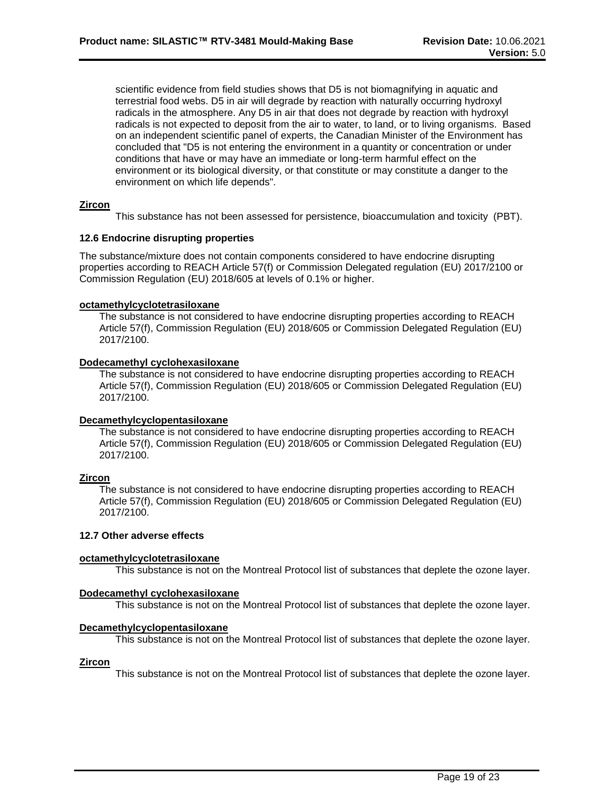scientific evidence from field studies shows that D5 is not biomagnifying in aquatic and terrestrial food webs. D5 in air will degrade by reaction with naturally occurring hydroxyl radicals in the atmosphere. Any D5 in air that does not degrade by reaction with hydroxyl radicals is not expected to deposit from the air to water, to land, or to living organisms. Based on an independent scientific panel of experts, the Canadian Minister of the Environment has concluded that "D5 is not entering the environment in a quantity or concentration or under conditions that have or may have an immediate or long-term harmful effect on the environment or its biological diversity, or that constitute or may constitute a danger to the environment on which life depends".

# **Zircon**

This substance has not been assessed for persistence, bioaccumulation and toxicity (PBT).

# **12.6 Endocrine disrupting properties**

The substance/mixture does not contain components considered to have endocrine disrupting properties according to REACH Article 57(f) or Commission Delegated regulation (EU) 2017/2100 or Commission Regulation (EU) 2018/605 at levels of 0.1% or higher.

#### **octamethylcyclotetrasiloxane**

The substance is not considered to have endocrine disrupting properties according to REACH Article 57(f), Commission Regulation (EU) 2018/605 or Commission Delegated Regulation (EU) 2017/2100.

#### **Dodecamethyl cyclohexasiloxane**

The substance is not considered to have endocrine disrupting properties according to REACH Article 57(f), Commission Regulation (EU) 2018/605 or Commission Delegated Regulation (EU) 2017/2100.

#### **Decamethylcyclopentasiloxane**

The substance is not considered to have endocrine disrupting properties according to REACH Article 57(f), Commission Regulation (EU) 2018/605 or Commission Delegated Regulation (EU) 2017/2100.

# **Zircon**

The substance is not considered to have endocrine disrupting properties according to REACH Article 57(f), Commission Regulation (EU) 2018/605 or Commission Delegated Regulation (EU) 2017/2100.

# **12.7 Other adverse effects**

# **octamethylcyclotetrasiloxane**

This substance is not on the Montreal Protocol list of substances that deplete the ozone layer.

# **Dodecamethyl cyclohexasiloxane**

This substance is not on the Montreal Protocol list of substances that deplete the ozone layer.

# **Decamethylcyclopentasiloxane**

This substance is not on the Montreal Protocol list of substances that deplete the ozone layer.

# **Zircon**

This substance is not on the Montreal Protocol list of substances that deplete the ozone layer.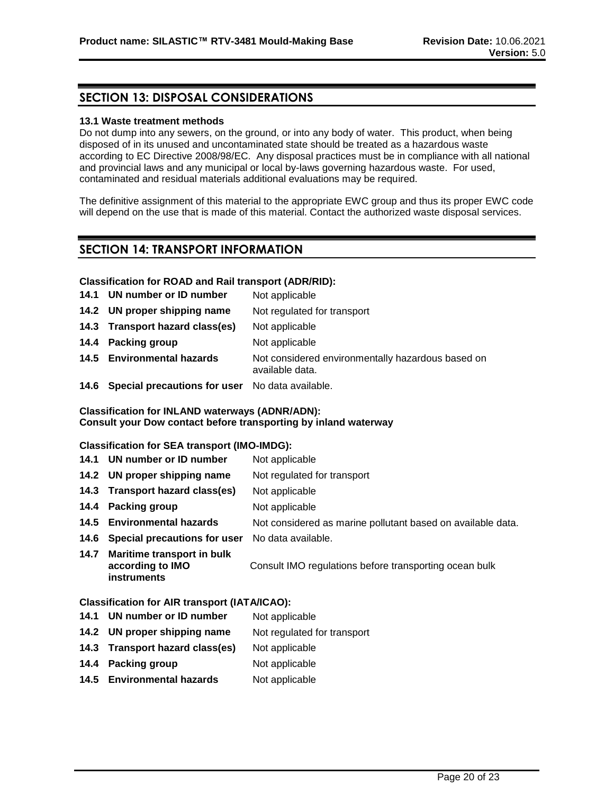# **SECTION 13: DISPOSAL CONSIDERATIONS**

#### **13.1 Waste treatment methods**

Do not dump into any sewers, on the ground, or into any body of water. This product, when being disposed of in its unused and uncontaminated state should be treated as a hazardous waste according to EC Directive 2008/98/EC. Any disposal practices must be in compliance with all national and provincial laws and any municipal or local by-laws governing hazardous waste. For used, contaminated and residual materials additional evaluations may be required.

The definitive assignment of this material to the appropriate EWC group and thus its proper EWC code will depend on the use that is made of this material. Contact the authorized waste disposal services.

# **SECTION 14: TRANSPORT INFORMATION**

# **Classification for ROAD and Rail transport (ADR/RID):**

- 14.1 **UN number or ID number** Not applicable
- **14.2 UN proper shipping name** Not regulated for transport
- **14.3 Transport hazard class(es)** Not applicable
- **14.4 Packing group Mot applicable**
- **14.5 Environmental hazards** Not considered environmentally hazardous based on available data.
- **14.6 Special precautions for user** No data available.

# **Classification for INLAND waterways (ADNR/ADN): Consult your Dow contact before transporting by inland waterway**

# **Classification for SEA transport (IMO-IMDG):**

- 14.1 **UN number or ID number** Not applicable
- **14.2 UN proper shipping name** Not regulated for transport
- **14.3 Transport hazard class(es)** Not applicable
- **14.4 Packing group** Not applicable
- **14.5 Environmental hazards** Not considered as marine pollutant based on available data.
- **14.6 Special precautions for user** No data available.
- **14.7 Maritime transport in bulk according to IMO instruments** Consult IMO regulations before transporting ocean bulk

#### **Classification for AIR transport (IATA/ICAO):**

- **14.1 UN number or ID number** Not applicable
- **14.2 UN proper shipping name** Not regulated for transport
- **14.3 Transport hazard class(es)** Not applicable
- **14.4 Packing group** Not applicable
- 14.5 **Environmental hazards** Not applicable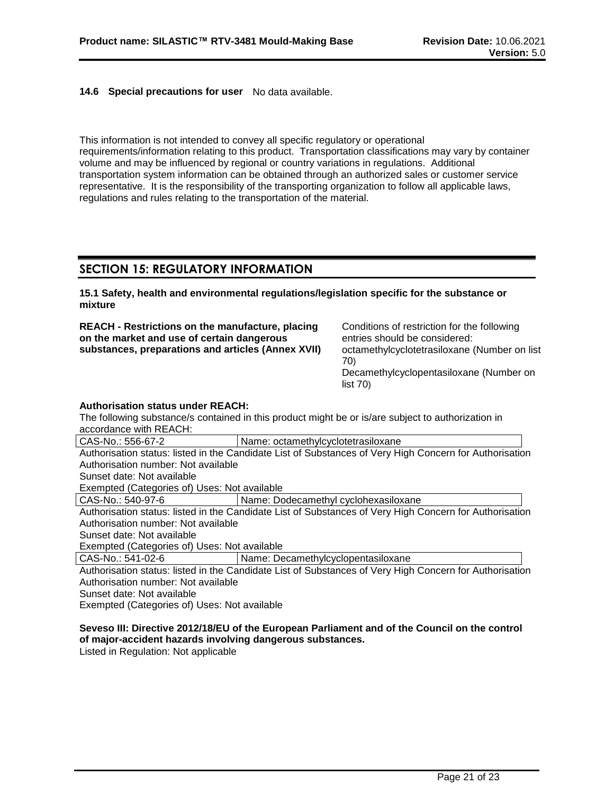# **14.6 Special precautions for user** No data available.

This information is not intended to convey all specific regulatory or operational requirements/information relating to this product. Transportation classifications may vary by container volume and may be influenced by regional or country variations in regulations. Additional transportation system information can be obtained through an authorized sales or customer service representative. It is the responsibility of the transporting organization to follow all applicable laws, regulations and rules relating to the transportation of the material.

# **SECTION 15: REGULATORY INFORMATION**

**15.1 Safety, health and environmental regulations/legislation specific for the substance or mixture**

**REACH - Restrictions on the manufacture, placing on the market and use of certain dangerous substances, preparations and articles (Annex XVII)** Conditions of restriction for the following entries should be considered: octamethylcyclotetrasiloxane (Number on list 70) Decamethylcyclopentasiloxane (Number on list 70)

#### **Authorisation status under REACH:**

The following substance/s contained in this product might be or is/are subject to authorization in accordance with REACH:

| CAS-No.: 556-67-2                            | Name: octamethylcyclotetrasiloxane                                                                      |
|----------------------------------------------|---------------------------------------------------------------------------------------------------------|
|                                              | Authorisation status: listed in the Candidate List of Substances of Very High Concern for Authorisation |
| Authorisation number: Not available          |                                                                                                         |
| Sunset date: Not available                   |                                                                                                         |
| Exempted (Categories of) Uses: Not available |                                                                                                         |
| CAS-No.: 540-97-6                            | Name: Dodecamethyl cyclohexasiloxane                                                                    |
|                                              | Authorisation status: listed in the Candidate List of Substances of Very High Concern for Authorisation |
| Authorisation number: Not available          |                                                                                                         |
| Sunset date: Not available                   |                                                                                                         |
| Exempted (Categories of) Uses: Not available |                                                                                                         |
| CAS-No.: 541-02-6                            | Name: Decamethylcyclopentasiloxane                                                                      |

Authorisation status: listed in the Candidate List of Substances of Very High Concern for Authorisation Authorisation number: Not available Sunset date: Not available

Exempted (Categories of) Uses: Not available

# **Seveso III: Directive 2012/18/EU of the European Parliament and of the Council on the control of major-accident hazards involving dangerous substances.**

Listed in Regulation: Not applicable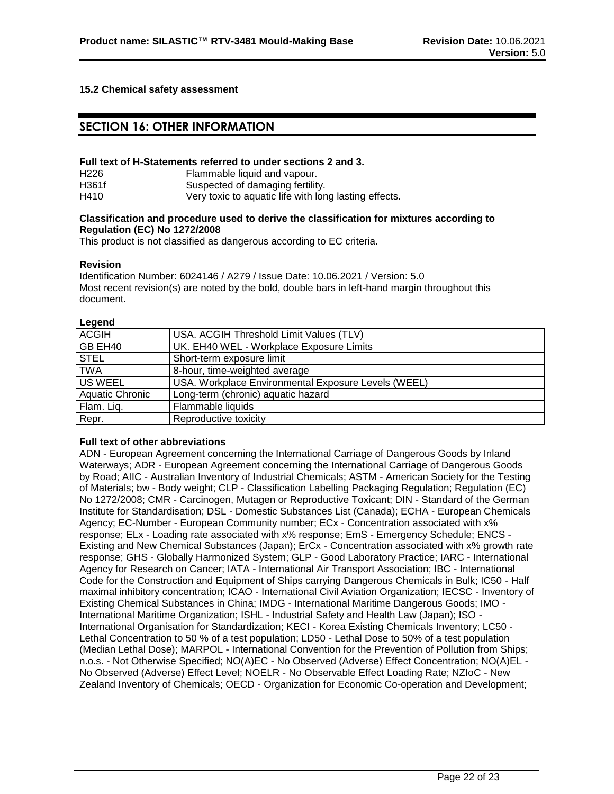# **15.2 Chemical safety assessment**

# **SECTION 16: OTHER INFORMATION**

#### **Full text of H-Statements referred to under sections 2 and 3.**

| H <sub>226</sub> | Flammable liquid and vapour.                          |
|------------------|-------------------------------------------------------|
| H361f            | Suspected of damaging fertility.                      |
| H410             | Very toxic to aquatic life with long lasting effects. |

#### **Classification and procedure used to derive the classification for mixtures according to Regulation (EC) No 1272/2008**

This product is not classified as dangerous according to EC criteria.

#### **Revision**

Identification Number: 6024146 / A279 / Issue Date: 10.06.2021 / Version: 5.0 Most recent revision(s) are noted by the bold, double bars in left-hand margin throughout this document.

#### **Legend**

| USA. ACGIH Threshold Limit Values (TLV)             |
|-----------------------------------------------------|
| UK. EH40 WEL - Workplace Exposure Limits            |
| Short-term exposure limit                           |
| 8-hour, time-weighted average                       |
| USA. Workplace Environmental Exposure Levels (WEEL) |
| Long-term (chronic) aquatic hazard                  |
| Flammable liquids                                   |
| Reproductive toxicity                               |
|                                                     |

#### **Full text of other abbreviations**

ADN - European Agreement concerning the International Carriage of Dangerous Goods by Inland Waterways; ADR - European Agreement concerning the International Carriage of Dangerous Goods by Road; AIIC - Australian Inventory of Industrial Chemicals; ASTM - American Society for the Testing of Materials; bw - Body weight; CLP - Classification Labelling Packaging Regulation; Regulation (EC) No 1272/2008; CMR - Carcinogen, Mutagen or Reproductive Toxicant; DIN - Standard of the German Institute for Standardisation; DSL - Domestic Substances List (Canada); ECHA - European Chemicals Agency; EC-Number - European Community number; ECx - Concentration associated with x% response; ELx - Loading rate associated with x% response; EmS - Emergency Schedule; ENCS - Existing and New Chemical Substances (Japan); ErCx - Concentration associated with x% growth rate response; GHS - Globally Harmonized System; GLP - Good Laboratory Practice; IARC - International Agency for Research on Cancer; IATA - International Air Transport Association; IBC - International Code for the Construction and Equipment of Ships carrying Dangerous Chemicals in Bulk; IC50 - Half maximal inhibitory concentration; ICAO - International Civil Aviation Organization; IECSC - Inventory of Existing Chemical Substances in China; IMDG - International Maritime Dangerous Goods; IMO - International Maritime Organization; ISHL - Industrial Safety and Health Law (Japan); ISO - International Organisation for Standardization; KECI - Korea Existing Chemicals Inventory; LC50 - Lethal Concentration to 50 % of a test population; LD50 - Lethal Dose to 50% of a test population (Median Lethal Dose); MARPOL - International Convention for the Prevention of Pollution from Ships; n.o.s. - Not Otherwise Specified; NO(A)EC - No Observed (Adverse) Effect Concentration; NO(A)EL - No Observed (Adverse) Effect Level; NOELR - No Observable Effect Loading Rate; NZIoC - New Zealand Inventory of Chemicals; OECD - Organization for Economic Co-operation and Development;